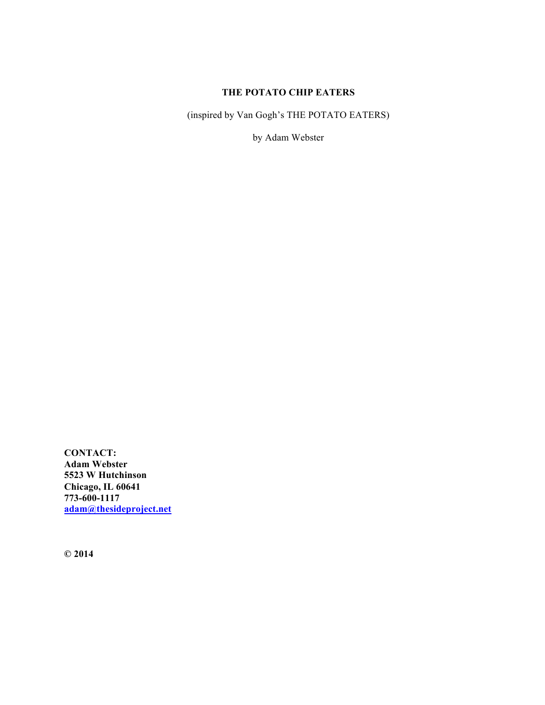# **THE POTATO CHIP EATERS**

(inspired by Van Gogh's THE POTATO EATERS)

by Adam Webster

**CONTACT: Adam Webster 5523 W Hutchinson Chicago, IL 60641 773-600-1117 adam@thesideproject.net**

**© 2014**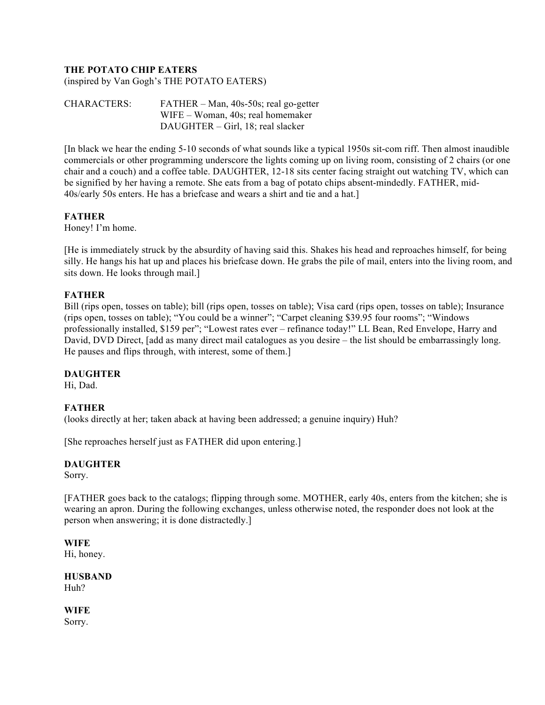# **THE POTATO CHIP EATERS**

(inspired by Van Gogh's THE POTATO EATERS)

CHARACTERS: FATHER – Man, 40s-50s; real go-getter WIFE – Woman, 40s; real homemaker DAUGHTER – Girl, 18; real slacker

[In black we hear the ending 5-10 seconds of what sounds like a typical 1950s sit-com riff. Then almost inaudible commercials or other programming underscore the lights coming up on living room, consisting of 2 chairs (or one chair and a couch) and a coffee table. DAUGHTER, 12-18 sits center facing straight out watching TV, which can be signified by her having a remote. She eats from a bag of potato chips absent-mindedly. FATHER, mid-40s/early 50s enters. He has a briefcase and wears a shirt and tie and a hat.]

#### **FATHER**

Honey! I'm home.

[He is immediately struck by the absurdity of having said this. Shakes his head and reproaches himself, for being silly. He hangs his hat up and places his briefcase down. He grabs the pile of mail, enters into the living room, and sits down. He looks through mail.]

#### **FATHER**

Bill (rips open, tosses on table); bill (rips open, tosses on table); Visa card (rips open, tosses on table); Insurance (rips open, tosses on table); "You could be a winner"; "Carpet cleaning \$39.95 four rooms"; "Windows professionally installed, \$159 per"; "Lowest rates ever – refinance today!" LL Bean, Red Envelope, Harry and David, DVD Direct, [add as many direct mail catalogues as you desire – the list should be embarrassingly long. He pauses and flips through, with interest, some of them.]

#### **DAUGHTER**

Hi, Dad.

#### **FATHER**

(looks directly at her; taken aback at having been addressed; a genuine inquiry) Huh?

[She reproaches herself just as FATHER did upon entering.]

#### **DAUGHTER**

Sorry.

[FATHER goes back to the catalogs; flipping through some. MOTHER, early 40s, enters from the kitchen; she is wearing an apron. During the following exchanges, unless otherwise noted, the responder does not look at the person when answering; it is done distractedly.]

#### **WIFE**

Hi, honey.

**HUSBAND**  Huh?

**WIFE**

Sorry.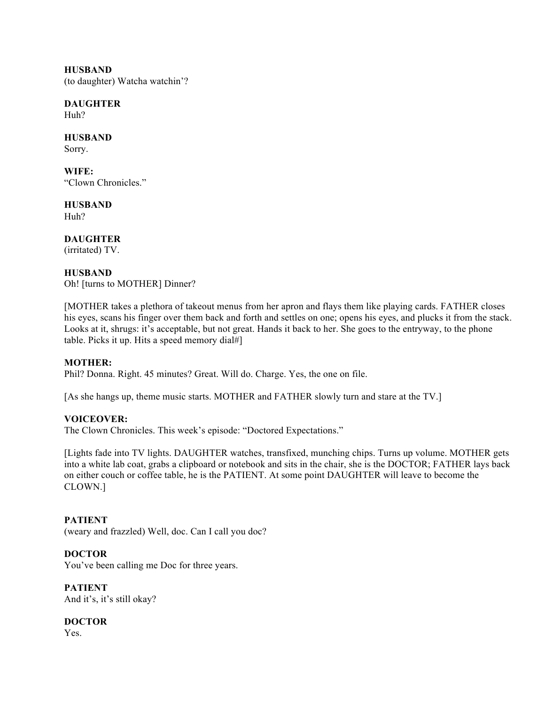**HUSBAND** (to daughter) Watcha watchin'?

**DAUGHTER** Huh?

**HUSBAND** Sorry.

**WIFE:** "Clown Chronicles."

**HUSBAND** Huh?

**DAUGHTER** (irritated) TV.

**HUSBAND**

Oh! [turns to MOTHER] Dinner?

[MOTHER takes a plethora of takeout menus from her apron and flays them like playing cards. FATHER closes his eyes, scans his finger over them back and forth and settles on one; opens his eyes, and plucks it from the stack. Looks at it, shrugs: it's acceptable, but not great. Hands it back to her. She goes to the entryway, to the phone table. Picks it up. Hits a speed memory dial#]

## **MOTHER:**

Phil? Donna. Right. 45 minutes? Great. Will do. Charge. Yes, the one on file.

[As she hangs up, theme music starts. MOTHER and FATHER slowly turn and stare at the TV.]

## **VOICEOVER:**

The Clown Chronicles. This week's episode: "Doctored Expectations."

[Lights fade into TV lights. DAUGHTER watches, transfixed, munching chips. Turns up volume. MOTHER gets into a white lab coat, grabs a clipboard or notebook and sits in the chair, she is the DOCTOR; FATHER lays back on either couch or coffee table, he is the PATIENT. At some point DAUGHTER will leave to become the CLOWN.]

## **PATIENT**

(weary and frazzled) Well, doc. Can I call you doc?

## **DOCTOR**

You've been calling me Doc for three years.

**PATIENT** And it's, it's still okay?

**DOCTOR**

Yes.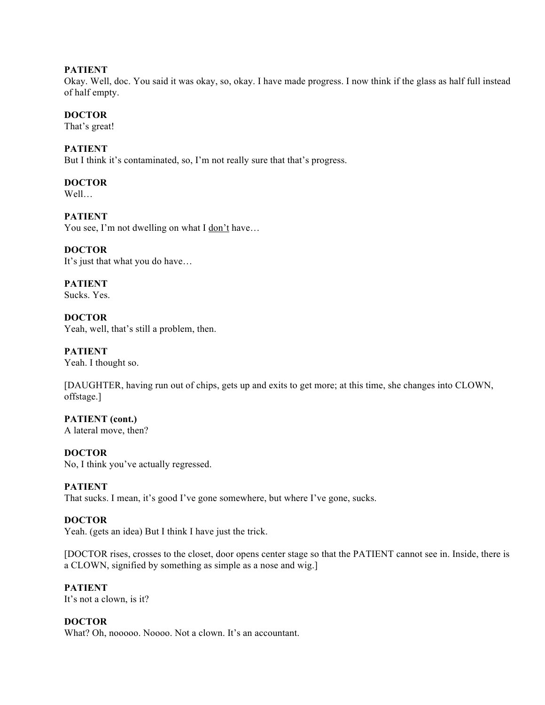#### **PATIENT**

Okay. Well, doc. You said it was okay, so, okay. I have made progress. I now think if the glass as half full instead of half empty.

#### **DOCTOR**

That's great!

#### **PATIENT**

But I think it's contaminated, so, I'm not really sure that that's progress.

# **DOCTOR**

Well…

## **PATIENT**

You see, I'm not dwelling on what I don't have...

## **DOCTOR**

It's just that what you do have…

**PATIENT**

Sucks. Yes.

**DOCTOR** Yeah, well, that's still a problem, then.

#### **PATIENT**

Yeah. I thought so.

[DAUGHTER, having run out of chips, gets up and exits to get more; at this time, she changes into CLOWN, offstage.]

**PATIENT (cont.)** A lateral move, then?

#### **DOCTOR**

No, I think you've actually regressed.

#### **PATIENT**

That sucks. I mean, it's good I've gone somewhere, but where I've gone, sucks.

#### **DOCTOR**

Yeah. (gets an idea) But I think I have just the trick.

[DOCTOR rises, crosses to the closet, door opens center stage so that the PATIENT cannot see in. Inside, there is a CLOWN, signified by something as simple as a nose and wig.]

#### **PATIENT**

It's not a clown, is it?

## **DOCTOR**

What? Oh, nooooo. Noooo. Not a clown. It's an accountant.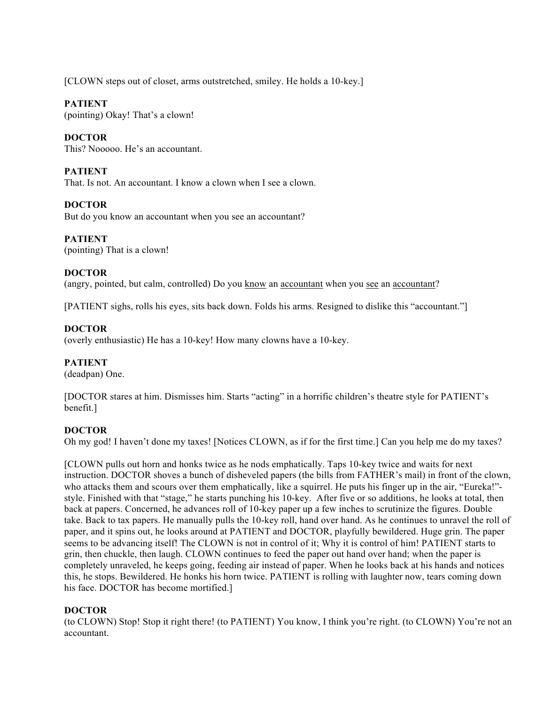[CLOWN steps out of closet, arms outstretched, smiley. He holds a 10-key.]

## **PATIENT**

(pointing) Okay! That's a clown!

# **DOCTOR**

This? Nooooo. He's an accountant.

# **PATIENT**

That. Is not. An accountant. I know a clown when I see a clown.

## **DOCTOR**

But do you know an accountant when you see an accountant?

## **PATIENT**

(pointing) That is a clown!

## **DOCTOR**

(angry, pointed, but calm, controlled) Do you know an accountant when you see an accountant?

[PATIENT sighs, rolls his eyes, sits back down. Folds his arms. Resigned to dislike this "accountant."]

# **DOCTOR**

(overly enthusiastic) He has a 10-key! How many clowns have a 10-key.

## **PATIENT**

(deadpan) One.

[DOCTOR stares at him. Dismisses him. Starts "acting" in a horrific children's theatre style for PATIENT's benefit.]

#### **DOCTOR**

Oh my god! I haven't done my taxes! [Notices CLOWN, as if for the first time.] Can you help me do my taxes?

[CLOWN pulls out horn and honks twice as he nods emphatically. Taps 10-key twice and waits for next instruction. DOCTOR shoves a bunch of disheveled papers (the bills from FATHER's mail) in front of the clown, who attacks them and scours over them emphatically, like a squirrel. He puts his finger up in the air, "Eureka!"style. Finished with that "stage," he starts punching his 10-key. After five or so additions, he looks at total, then back at papers. Concerned, he advances roll of 10-key paper up a few inches to scrutinize the figures. Double take. Back to tax papers. He manually pulls the 10-key roll, hand over hand. As he continues to unravel the roll of paper, and it spins out, he looks around at PATIENT and DOCTOR, playfully bewildered. Huge grin. The paper seems to be advancing itself! The CLOWN is not in control of it; Why it is control of him! PATIENT starts to grin, then chuckle, then laugh. CLOWN continues to feed the paper out hand over hand; when the paper is completely unraveled, he keeps going, feeding air instead of paper. When he looks back at his hands and notices this, he stops. Bewildered. He honks his horn twice. PATIENT is rolling with laughter now, tears coming down his face. DOCTOR has become mortified.]

## **DOCTOR**

(to CLOWN) Stop! Stop it right there! (to PATIENT) You know, I think you're right. (to CLOWN) You're not an accountant.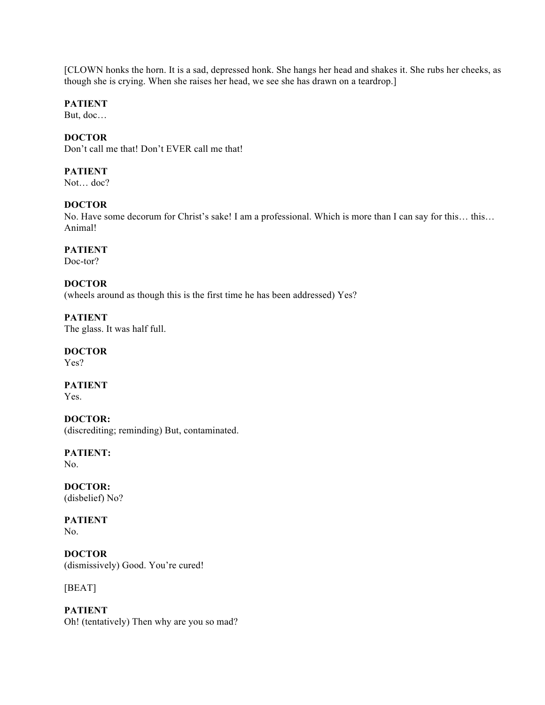[CLOWN honks the horn. It is a sad, depressed honk. She hangs her head and shakes it. She rubs her cheeks, as though she is crying. When she raises her head, we see she has drawn on a teardrop.]

## **PATIENT**

But, doc…

# **DOCTOR**

Don't call me that! Don't EVER call me that!

## **PATIENT**

Not… doc?

## **DOCTOR**

No. Have some decorum for Christ's sake! I am a professional. Which is more than I can say for this… this… Animal!

# **PATIENT**

Doc-tor?

## **DOCTOR**

(wheels around as though this is the first time he has been addressed) Yes?

**PATIENT** The glass. It was half full.

# **DOCTOR**

Yes?

#### **PATIENT**

Yes.

#### **DOCTOR:**

(discrediting; reminding) But, contaminated.

# **PATIENT:**

No.

## **DOCTOR:**

(disbelief) No?

# **PATIENT**

No.

## **DOCTOR** (dismissively) Good. You're cured!

[BEAT]

# **PATIENT** Oh! (tentatively) Then why are you so mad?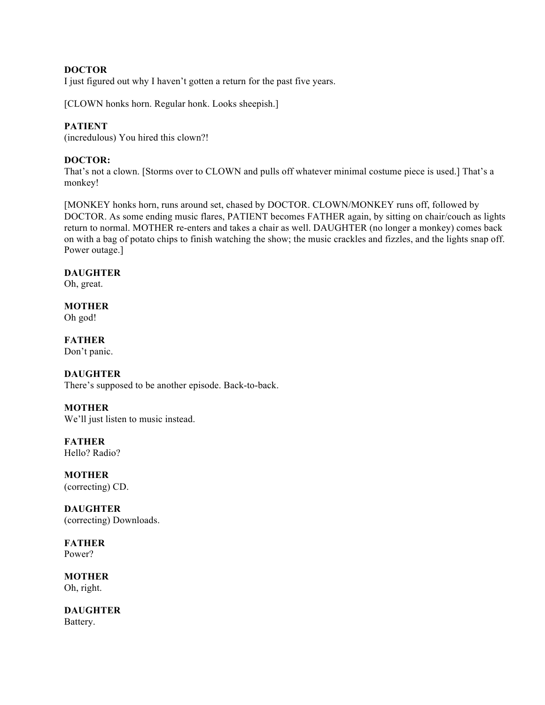## **DOCTOR**

I just figured out why I haven't gotten a return for the past five years.

[CLOWN honks horn. Regular honk. Looks sheepish.]

#### **PATIENT**

(incredulous) You hired this clown?!

## **DOCTOR:**

That's not a clown. [Storms over to CLOWN and pulls off whatever minimal costume piece is used.] That's a monkey!

[MONKEY honks horn, runs around set, chased by DOCTOR. CLOWN/MONKEY runs off, followed by DOCTOR. As some ending music flares, PATIENT becomes FATHER again, by sitting on chair/couch as lights return to normal. MOTHER re-enters and takes a chair as well. DAUGHTER (no longer a monkey) comes back on with a bag of potato chips to finish watching the show; the music crackles and fizzles, and the lights snap off. Power outage.]

#### **DAUGHTER**

Oh, great.

# **MOTHER**

Oh god!

# **FATHER**

Don't panic.

#### **DAUGHTER**

There's supposed to be another episode. Back-to-back.

#### **MOTHER**

We'll just listen to music instead.

**FATHER** Hello? Radio?

**MOTHER** (correcting) CD.

**DAUGHTER** (correcting) Downloads.

**FATHER** Power?

**MOTHER** Oh, right.

**DAUGHTER** Battery.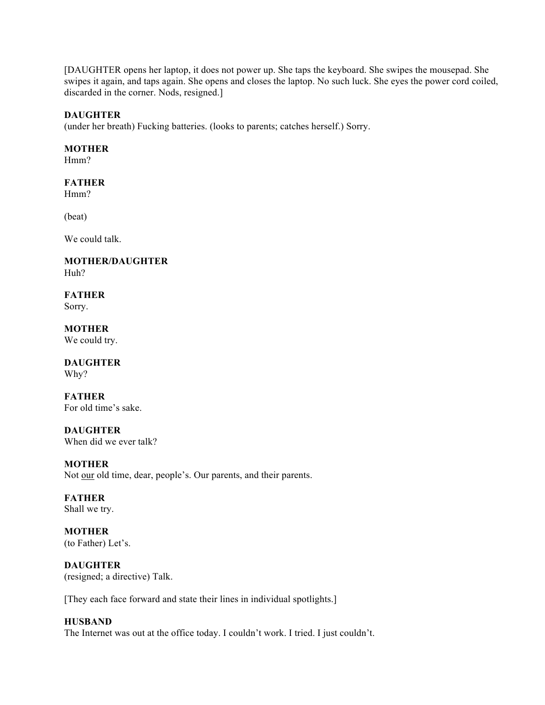[DAUGHTER opens her laptop, it does not power up. She taps the keyboard. She swipes the mousepad. She swipes it again, and taps again. She opens and closes the laptop. No such luck. She eyes the power cord coiled, discarded in the corner. Nods, resigned.]

#### **DAUGHTER**

(under her breath) Fucking batteries. (looks to parents; catches herself.) Sorry.

#### **MOTHER**

Hmm?

## **FATHER**

Hmm?

(beat)

We could talk.

**MOTHER/DAUGHTER** Huh?

**FATHER** Sorry.

**MOTHER** We could try.

**DAUGHTER** Why?

**FATHER** For old time's sake.

**DAUGHTER** When did we ever talk?

**MOTHER** Not our old time, dear, people's. Our parents, and their parents.

**FATHER** Shall we try.

**MOTHER** (to Father) Let's.

**DAUGHTER** (resigned; a directive) Talk.

[They each face forward and state their lines in individual spotlights.]

#### **HUSBAND**

The Internet was out at the office today. I couldn't work. I tried. I just couldn't.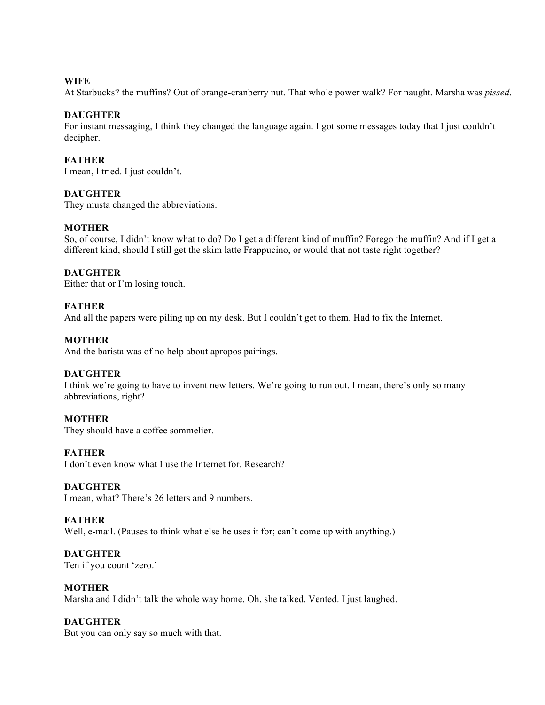#### **WIFE**

At Starbucks? the muffins? Out of orange-cranberry nut. That whole power walk? For naught. Marsha was *pissed*.

#### **DAUGHTER**

For instant messaging, I think they changed the language again. I got some messages today that I just couldn't decipher.

#### **FATHER**

I mean, I tried. I just couldn't.

#### **DAUGHTER**

They musta changed the abbreviations.

#### **MOTHER**

So, of course, I didn't know what to do? Do I get a different kind of muffin? Forego the muffin? And if I get a different kind, should I still get the skim latte Frappucino, or would that not taste right together?

#### **DAUGHTER**

Either that or I'm losing touch.

#### **FATHER**

And all the papers were piling up on my desk. But I couldn't get to them. Had to fix the Internet.

#### **MOTHER**

And the barista was of no help about apropos pairings.

#### **DAUGHTER**

I think we're going to have to invent new letters. We're going to run out. I mean, there's only so many abbreviations, right?

#### **MOTHER**

They should have a coffee sommelier.

#### **FATHER**

I don't even know what I use the Internet for. Research?

#### **DAUGHTER**

I mean, what? There's 26 letters and 9 numbers.

#### **FATHER**

Well, e-mail. (Pauses to think what else he uses it for; can't come up with anything.)

**DAUGHTER** Ten if you count 'zero.'

#### **MOTHER**

Marsha and I didn't talk the whole way home. Oh, she talked. Vented. I just laughed.

## **DAUGHTER**

But you can only say so much with that.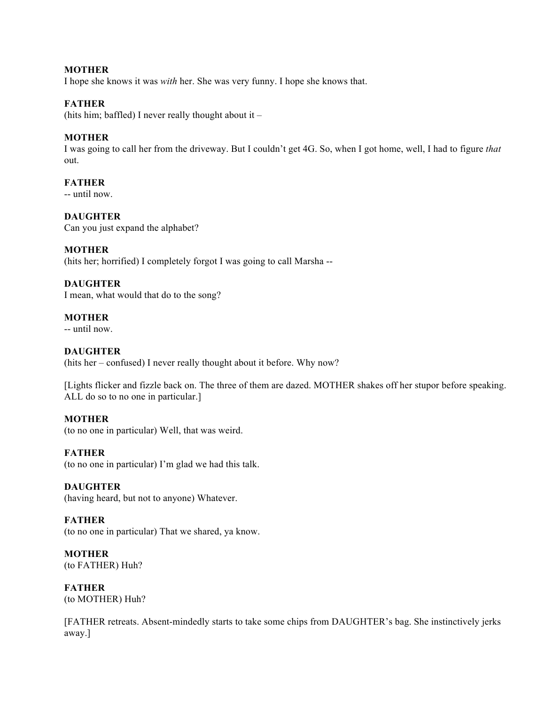### **MOTHER**

I hope she knows it was *with* her. She was very funny. I hope she knows that.

#### **FATHER**

(hits him; baffled) I never really thought about it  $-$ 

#### **MOTHER**

I was going to call her from the driveway. But I couldn't get 4G. So, when I got home, well, I had to figure *that* out.

## **FATHER**

-- until now.

**DAUGHTER** Can you just expand the alphabet?

#### **MOTHER**

(hits her; horrified) I completely forgot I was going to call Marsha --

## **DAUGHTER**

I mean, what would that do to the song?

#### **MOTHER**

-- until now.

### **DAUGHTER**

(hits her – confused) I never really thought about it before. Why now?

[Lights flicker and fizzle back on. The three of them are dazed. MOTHER shakes off her stupor before speaking. ALL do so to no one in particular.]

#### **MOTHER**

(to no one in particular) Well, that was weird.

#### **FATHER**

(to no one in particular) I'm glad we had this talk.

#### **DAUGHTER**

(having heard, but not to anyone) Whatever.

#### **FATHER**

(to no one in particular) That we shared, ya know.

**MOTHER** (to FATHER) Huh?

**FATHER** (to MOTHER) Huh?

[FATHER retreats. Absent-mindedly starts to take some chips from DAUGHTER's bag. She instinctively jerks away.]